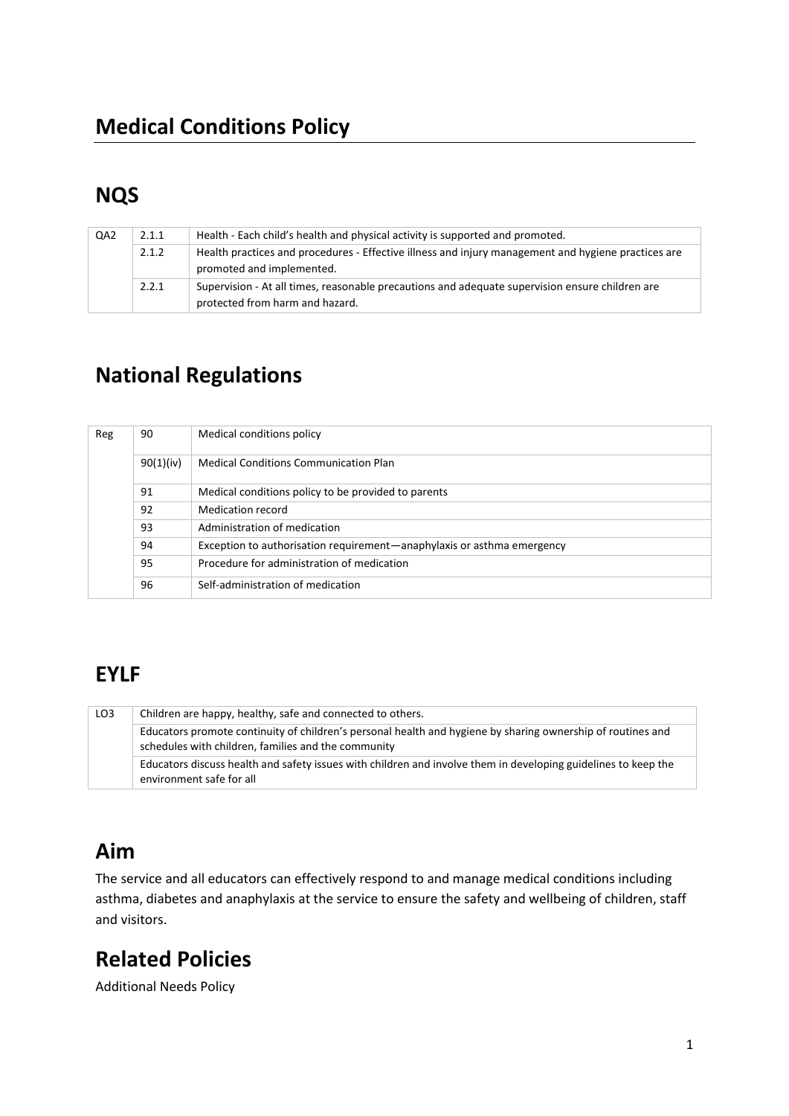# **NQS**

| QA <sub>2</sub> | 2.1.1 | Health - Each child's health and physical activity is supported and promoted.                                                      |
|-----------------|-------|------------------------------------------------------------------------------------------------------------------------------------|
|                 | 2.1.2 | Health practices and procedures - Effective illness and injury management and hygiene practices are<br>promoted and implemented.   |
|                 | 2.2.1 | Supervision - At all times, reasonable precautions and adequate supervision ensure children are<br>protected from harm and hazard. |

# **National Regulations**

| Reg | 90        | Medical conditions policy                                              |
|-----|-----------|------------------------------------------------------------------------|
|     | 90(1)(iv) | <b>Medical Conditions Communication Plan</b>                           |
|     | 91        | Medical conditions policy to be provided to parents                    |
|     | 92        | Medication record                                                      |
|     | 93        | Administration of medication                                           |
|     | 94        | Exception to authorisation requirement—anaphylaxis or asthma emergency |
|     | 95        | Procedure for administration of medication                             |
|     | 96        | Self-administration of medication                                      |

## **EYLF**

| LO <sub>3</sub> | Children are happy, healthy, safe and connected to others.                                                                                                         |  |  |
|-----------------|--------------------------------------------------------------------------------------------------------------------------------------------------------------------|--|--|
|                 | Educators promote continuity of children's personal health and hygiene by sharing ownership of routines and<br>schedules with children, families and the community |  |  |
|                 | Educators discuss health and safety issues with children and involve them in developing guidelines to keep the<br>environment safe for all                         |  |  |

## **Aim**

The service and all educators can effectively respond to and manage medical conditions including asthma, diabetes and anaphylaxis at the service to ensure the safety and wellbeing of children, staff and visitors.

# **Related Policies**

Additional Needs Policy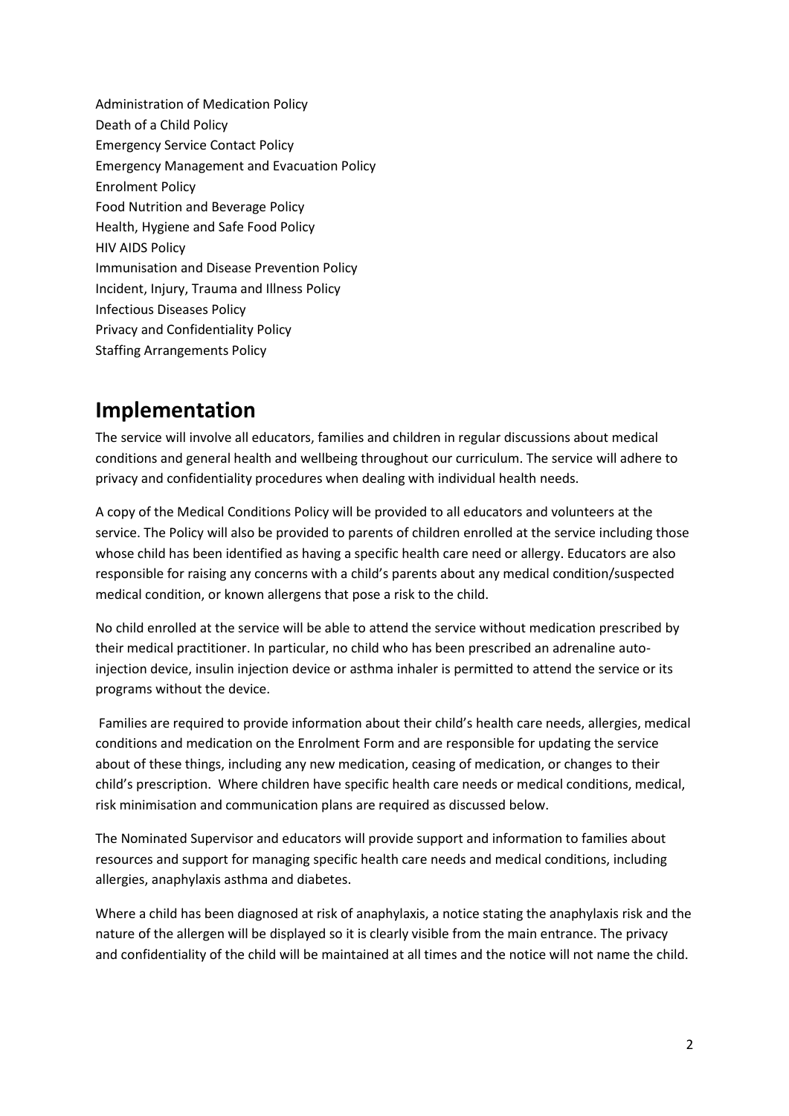Administration of Medication Policy Death of a Child Policy Emergency Service Contact Policy Emergency Management and Evacuation Policy Enrolment Policy Food Nutrition and Beverage Policy Health, Hygiene and Safe Food Policy HIV AIDS Policy Immunisation and Disease Prevention Policy Incident, Injury, Trauma and Illness Policy Infectious Diseases Policy Privacy and Confidentiality Policy Staffing Arrangements Policy

### **Implementation**

The service will involve all educators, families and children in regular discussions about medical conditions and general health and wellbeing throughout our curriculum. The service will adhere to privacy and confidentiality procedures when dealing with individual health needs.

A copy of the Medical Conditions Policy will be provided to all educators and volunteers at the service. The Policy will also be provided to parents of children enrolled at the service including those whose child has been identified as having a specific health care need or allergy. Educators are also responsible for raising any concerns with a child's parents about any medical condition/suspected medical condition, or known allergens that pose a risk to the child.

No child enrolled at the service will be able to attend the service without medication prescribed by their medical practitioner. In particular, no child who has been prescribed an adrenaline autoinjection device, insulin injection device or asthma inhaler is permitted to attend the service or its programs without the device.

Families are required to provide information about their child's health care needs, allergies, medical conditions and medication on the Enrolment Form and are responsible for updating the service about of these things, including any new medication, ceasing of medication, or changes to their child's prescription. Where children have specific health care needs or medical conditions, medical, risk minimisation and communication plans are required as discussed below.

The Nominated Supervisor and educators will provide support and information to families about resources and support for managing specific health care needs and medical conditions, including allergies, anaphylaxis asthma and diabetes.

Where a child has been diagnosed at risk of anaphylaxis, a notice stating the anaphylaxis risk and the nature of the allergen will be displayed so it is clearly visible from the main entrance. The privacy and confidentiality of the child will be maintained at all times and the notice will not name the child.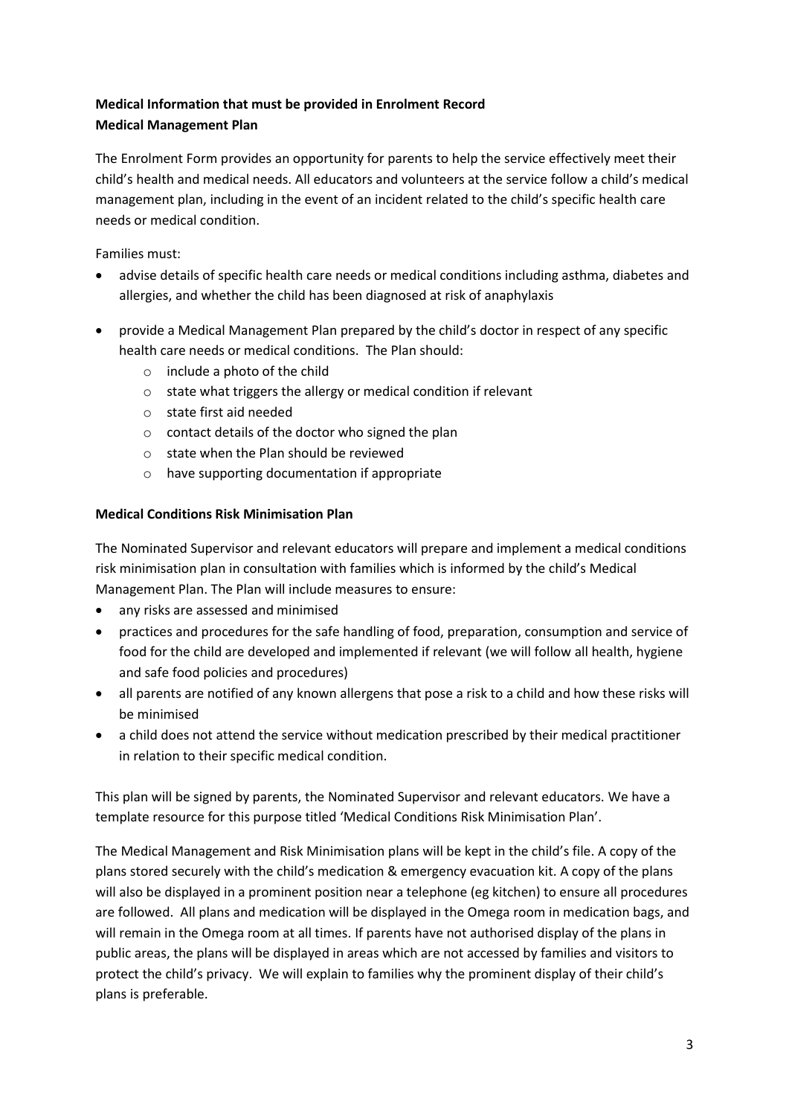### **Medical Information that must be provided in Enrolment Record Medical Management Plan**

The Enrolment Form provides an opportunity for parents to help the service effectively meet their child's health and medical needs. All educators and volunteers at the service follow a child's medical management plan, including in the event of an incident related to the child's specific health care needs or medical condition.

Families must:

- advise details of specific health care needs or medical conditions including asthma, diabetes and allergies, and whether the child has been diagnosed at risk of anaphylaxis
- provide a Medical Management Plan prepared by the child's doctor in respect of any specific health care needs or medical conditions. The Plan should:
	- o include a photo of the child
	- o state what triggers the allergy or medical condition if relevant
	- o state first aid needed
	- o contact details of the doctor who signed the plan
	- o state when the Plan should be reviewed
	- o have supporting documentation if appropriate

#### **Medical Conditions Risk Minimisation Plan**

The Nominated Supervisor and relevant educators will prepare and implement a medical conditions risk minimisation plan in consultation with families which is informed by the child's Medical Management Plan. The Plan will include measures to ensure:

- any risks are assessed and minimised
- practices and procedures for the safe handling of food, preparation, consumption and service of food for the child are developed and implemented if relevant (we will follow all health, hygiene and safe food policies and procedures)
- all parents are notified of any known allergens that pose a risk to a child and how these risks will be minimised
- a child does not attend the service without medication prescribed by their medical practitioner in relation to their specific medical condition.

This plan will be signed by parents, the Nominated Supervisor and relevant educators. We have a template resource for this purpose titled 'Medical Conditions Risk Minimisation Plan'.

The Medical Management and Risk Minimisation plans will be kept in the child's file. A copy of the plans stored securely with the child's medication & emergency evacuation kit. A copy of the plans will also be displayed in a prominent position near a telephone (eg kitchen) to ensure all procedures are followed. All plans and medication will be displayed in the Omega room in medication bags, and will remain in the Omega room at all times. If parents have not authorised display of the plans in public areas, the plans will be displayed in areas which are not accessed by families and visitors to protect the child's privacy. We will explain to families why the prominent display of their child's plans is preferable.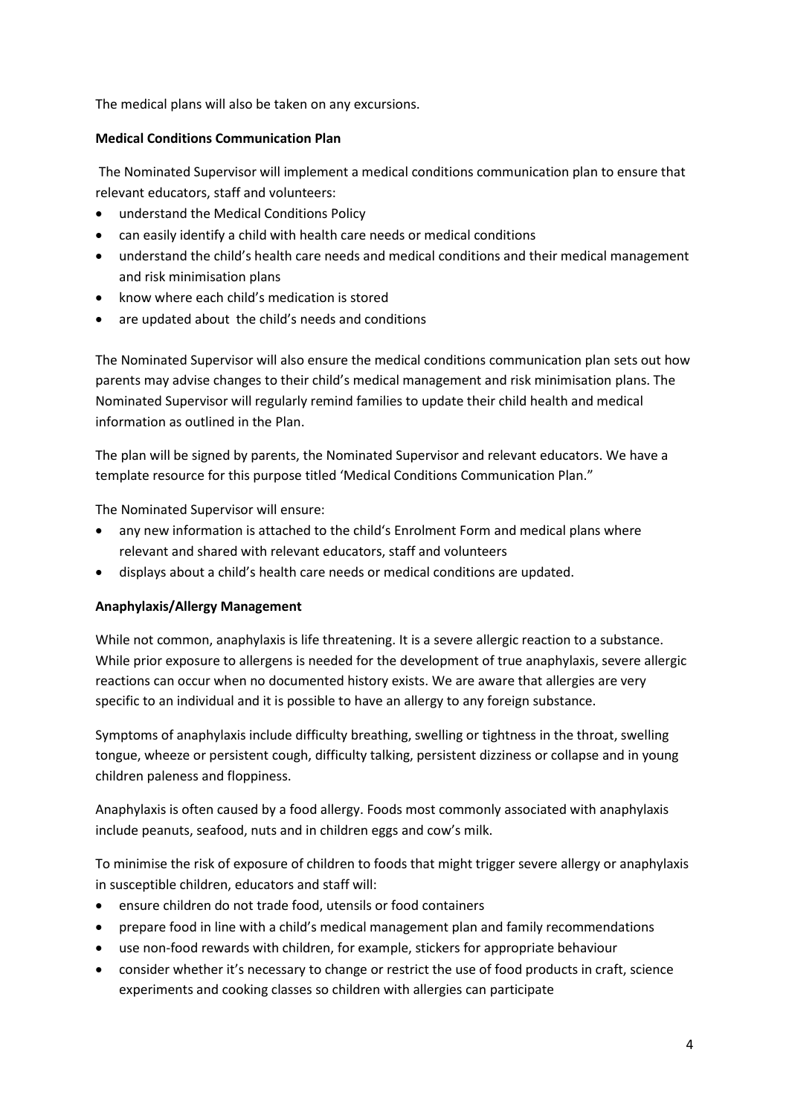The medical plans will also be taken on any excursions.

#### **Medical Conditions Communication Plan**

The Nominated Supervisor will implement a medical conditions communication plan to ensure that relevant educators, staff and volunteers:

- understand the Medical Conditions Policy
- can easily identify a child with health care needs or medical conditions
- understand the child's health care needs and medical conditions and their medical management and risk minimisation plans
- know where each child's medication is stored
- are updated about the child's needs and conditions

The Nominated Supervisor will also ensure the medical conditions communication plan sets out how parents may advise changes to their child's medical management and risk minimisation plans. The Nominated Supervisor will regularly remind families to update their child health and medical information as outlined in the Plan.

The plan will be signed by parents, the Nominated Supervisor and relevant educators. We have a template resource for this purpose titled 'Medical Conditions Communication Plan."

The Nominated Supervisor will ensure:

- any new information is attached to the child's Enrolment Form and medical plans where relevant and shared with relevant educators, staff and volunteers
- displays about a child's health care needs or medical conditions are updated.

#### **Anaphylaxis/Allergy Management**

While not common, anaphylaxis is life threatening. It is a severe allergic reaction to a substance. While prior exposure to allergens is needed for the development of true anaphylaxis, severe allergic reactions can occur when no documented history exists. We are aware that allergies are very specific to an individual and it is possible to have an allergy to any foreign substance.

Symptoms of anaphylaxis include difficulty breathing, swelling or tightness in the throat, swelling tongue, wheeze or persistent cough, difficulty talking, persistent dizziness or collapse and in young children paleness and floppiness.

Anaphylaxis is often caused by a food allergy. Foods most commonly associated with anaphylaxis include peanuts, seafood, nuts and in children eggs and cow's milk.

To minimise the risk of exposure of children to foods that might trigger severe allergy or anaphylaxis in susceptible children, educators and staff will:

- ensure children do not trade food, utensils or food containers
- prepare food in line with a child's medical management plan and family recommendations
- use non-food rewards with children, for example, stickers for appropriate behaviour
- consider whether it's necessary to change or restrict the use of food products in craft, science experiments and cooking classes so children with allergies can participate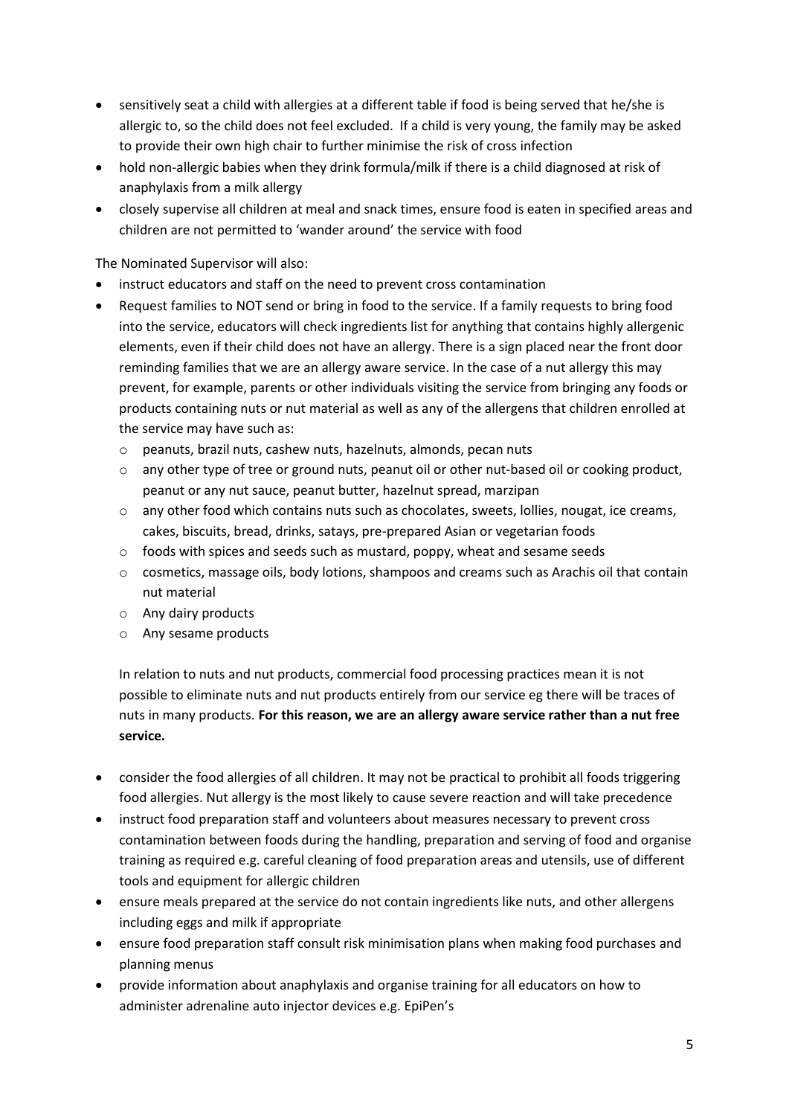- sensitively seat a child with allergies at a different table if food is being served that he/she is allergic to, so the child does not feel excluded. If a child is very young, the family may be asked to provide their own high chair to further minimise the risk of cross infection
- hold non-allergic babies when they drink formula/milk if there is a child diagnosed at risk of anaphylaxis from a milk allergy
- closely supervise all children at meal and snack times, ensure food is eaten in specified areas and children are not permitted to 'wander around' the service with food

The Nominated Supervisor will also:

- instruct educators and staff on the need to prevent cross contamination
- Request families to NOT send or bring in food to the service. If a family requests to bring food into the service, educators will check ingredients list for anything that contains highly allergenic elements, even if their child does not have an allergy. There is a sign placed near the front door reminding families that we are an allergy aware service. In the case of a nut allergy this may prevent, for example, parents or other individuals visiting the service from bringing any foods or products containing nuts or nut material as well as any of the allergens that children enrolled at the service may have such as:
	- o peanuts, brazil nuts, cashew nuts, hazelnuts, almonds, pecan nuts
	- $\circ$  any other type of tree or ground nuts, peanut oil or other nut-based oil or cooking product, peanut or any nut sauce, peanut butter, hazelnut spread, marzipan
	- o any other food which contains nuts such as chocolates, sweets, lollies, nougat, ice creams, cakes, biscuits, bread, drinks, satays, pre-prepared Asian or vegetarian foods
	- o foods with spices and seeds such as mustard, poppy, wheat and sesame seeds
	- $\circ$  cosmetics, massage oils, body lotions, shampoos and creams such as Arachis oil that contain nut material
	- o Any dairy products
	- o Any sesame products

In relation to nuts and nut products, commercial food processing practices mean it is not possible to eliminate nuts and nut products entirely from our service eg there will be traces of nuts in many products. **For this reason, we are an allergy aware service rather than a nut free service.**

- consider the food allergies of all children. It may not be practical to prohibit all foods triggering food allergies. Nut allergy is the most likely to cause severe reaction and will take precedence
- instruct food preparation staff and volunteers about measures necessary to prevent cross contamination between foods during the handling, preparation and serving of food and organise training as required e.g. careful cleaning of food preparation areas and utensils, use of different tools and equipment for allergic children
- ensure meals prepared at the service do not contain ingredients like nuts, and other allergens including eggs and milk if appropriate
- ensure food preparation staff consult risk minimisation plans when making food purchases and planning menus
- provide information about anaphylaxis and organise training for all educators on how to administer adrenaline auto injector devices e.g. EpiPen's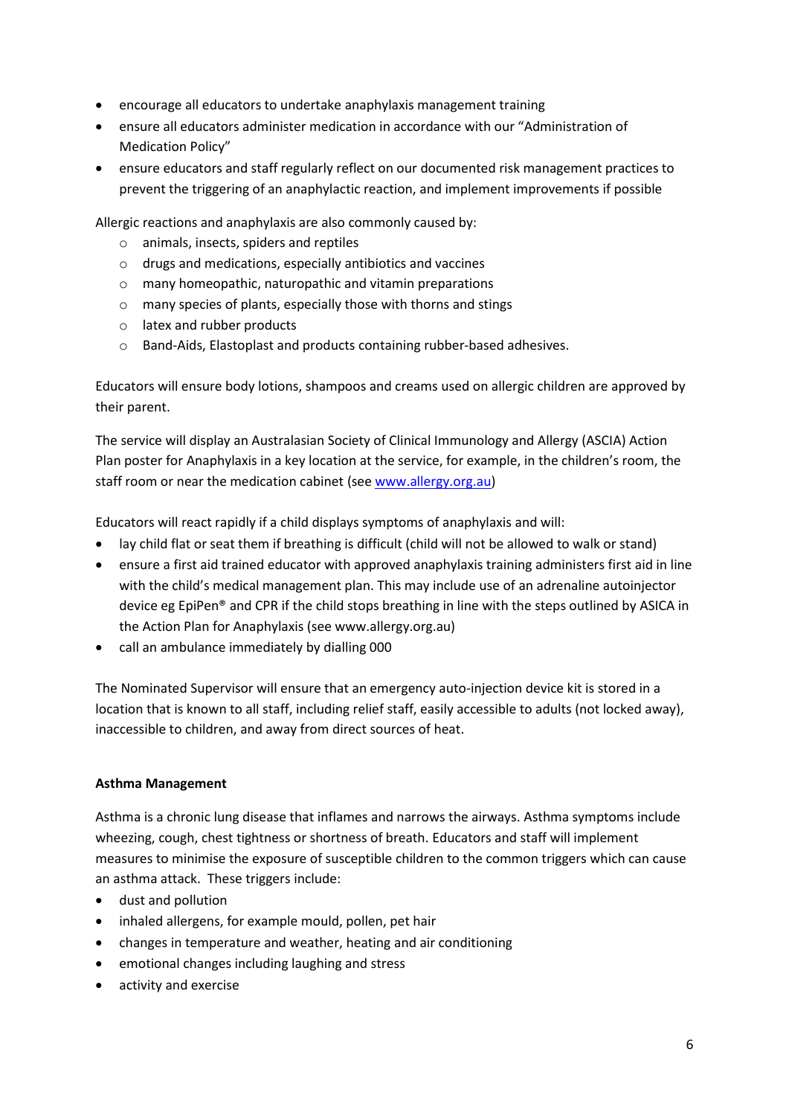- encourage all educators to undertake anaphylaxis management training
- ensure all educators administer medication in accordance with our "Administration of Medication Policy"
- ensure educators and staff regularly reflect on our documented risk management practices to prevent the triggering of an anaphylactic reaction, and implement improvements if possible

Allergic reactions and anaphylaxis are also commonly caused by:

- o animals, insects, spiders and reptiles
- o drugs and medications, especially antibiotics and vaccines
- o many homeopathic, naturopathic and vitamin preparations
- o many species of plants, especially those with thorns and stings
- o latex and rubber products
- o Band-Aids, Elastoplast and products containing rubber-based adhesives.

Educators will ensure body lotions, shampoos and creams used on allergic children are approved by their parent.

The service will display an Australasian Society of Clinical Immunology and Allergy (ASCIA) Action Plan poster for Anaphylaxis in a key location at the service, for example, in the children's room, the staff room or near the medication cabinet (see [www.allergy.org.au\)](http://www.allergy.org.au/)

Educators will react rapidly if a child displays symptoms of anaphylaxis and will:

- lay child flat or seat them if breathing is difficult (child will not be allowed to walk or stand)
- ensure a first aid trained educator with approved anaphylaxis training administers first aid in line with the child's medical management plan. This may include use of an adrenaline autoinjector device eg EpiPen® and CPR if the child stops breathing in line with the steps outlined by ASICA in the Action Plan for Anaphylaxis (see www.allergy.org.au)
- call an ambulance immediately by dialling 000

The Nominated Supervisor will ensure that an emergency auto-injection device kit is stored in a location that is known to all staff, including relief staff, easily accessible to adults (not locked away), inaccessible to children, and away from direct sources of heat.

#### **Asthma Management**

Asthma is a chronic lung disease that inflames and narrows the airways. Asthma symptoms include wheezing, cough, chest tightness or shortness of breath. Educators and staff will implement measures to minimise the exposure of susceptible children to the common triggers which can cause an asthma attack. These triggers include:

- dust and pollution
- inhaled allergens, for example mould, pollen, pet hair
- changes in temperature and weather, heating and air conditioning
- emotional changes including laughing and stress
- activity and exercise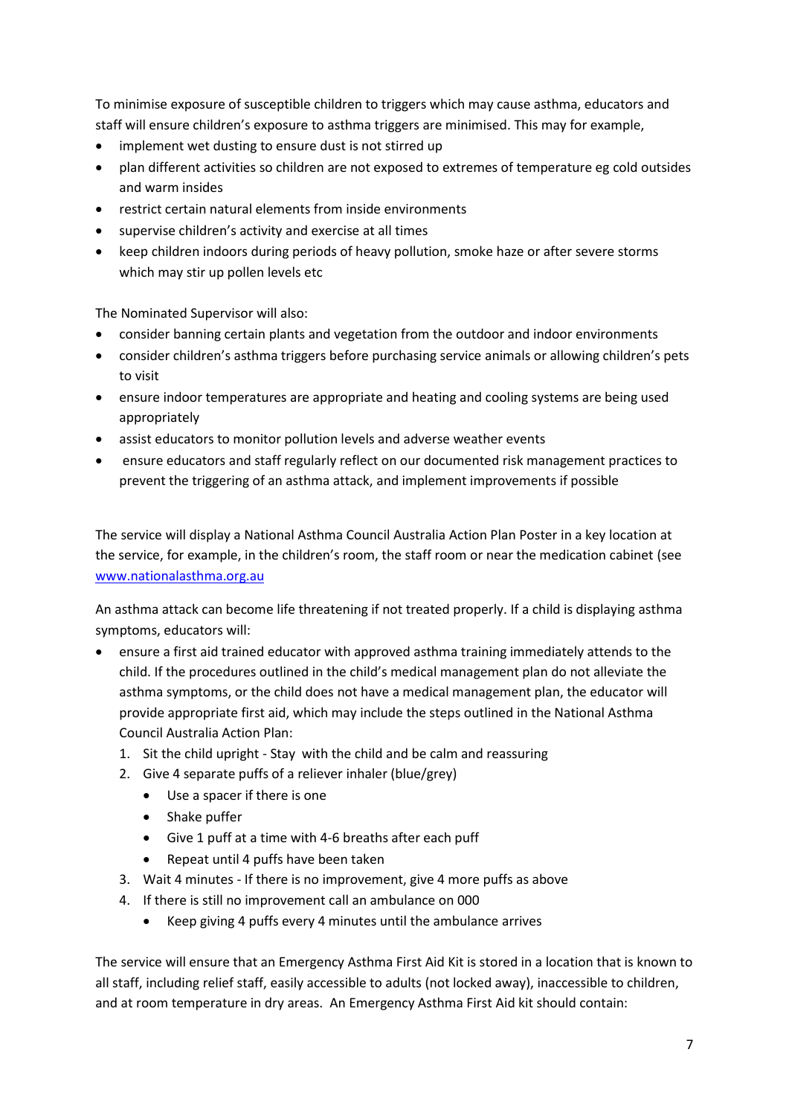To minimise exposure of susceptible children to triggers which may cause asthma, educators and staff will ensure children's exposure to asthma triggers are minimised. This may for example,

- implement wet dusting to ensure dust is not stirred up
- plan different activities so children are not exposed to extremes of temperature eg cold outsides and warm insides
- restrict certain natural elements from inside environments
- supervise children's activity and exercise at all times
- keep children indoors during periods of heavy pollution, smoke haze or after severe storms which may stir up pollen levels etc

The Nominated Supervisor will also:

- consider banning certain plants and vegetation from the outdoor and indoor environments
- consider children's asthma triggers before purchasing service animals or allowing children's pets to visit
- ensure indoor temperatures are appropriate and heating and cooling systems are being used appropriately
- assist educators to monitor pollution levels and adverse weather events
- ensure educators and staff regularly reflect on our documented risk management practices to prevent the triggering of an asthma attack, and implement improvements if possible

The service will display a National Asthma Council Australia Action Plan Poster in a key location at the service, for example, in the children's room, the staff room or near the medication cabinet (see [www.nationalasthma.org.au](http://www.nationalasthma.org.au/)

An asthma attack can become life threatening if not treated properly. If a child is displaying asthma symptoms, educators will:

- ensure a first aid trained educator with approved asthma training immediately attends to the child. If the procedures outlined in the child's medical management plan do not alleviate the asthma symptoms, or the child does not have a medical management plan, the educator will provide appropriate first aid, which may include the steps outlined in the National Asthma Council Australia Action Plan:
	- 1. Sit the child upright Stay with the child and be calm and reassuring
	- 2. Give 4 separate puffs of a reliever inhaler (blue/grey)
		- Use a spacer if there is one
		- Shake puffer
		- Give 1 puff at a time with 4-6 breaths after each puff
		- Repeat until 4 puffs have been taken
	- 3. Wait 4 minutes If there is no improvement, give 4 more puffs as above
	- 4. If there is still no improvement call an ambulance on 000
		- Keep giving 4 puffs every 4 minutes until the ambulance arrives

The service will ensure that an Emergency Asthma First Aid Kit is stored in a location that is known to all staff, including relief staff, easily accessible to adults (not locked away), inaccessible to children, and at room temperature in dry areas. An Emergency Asthma First Aid kit should contain: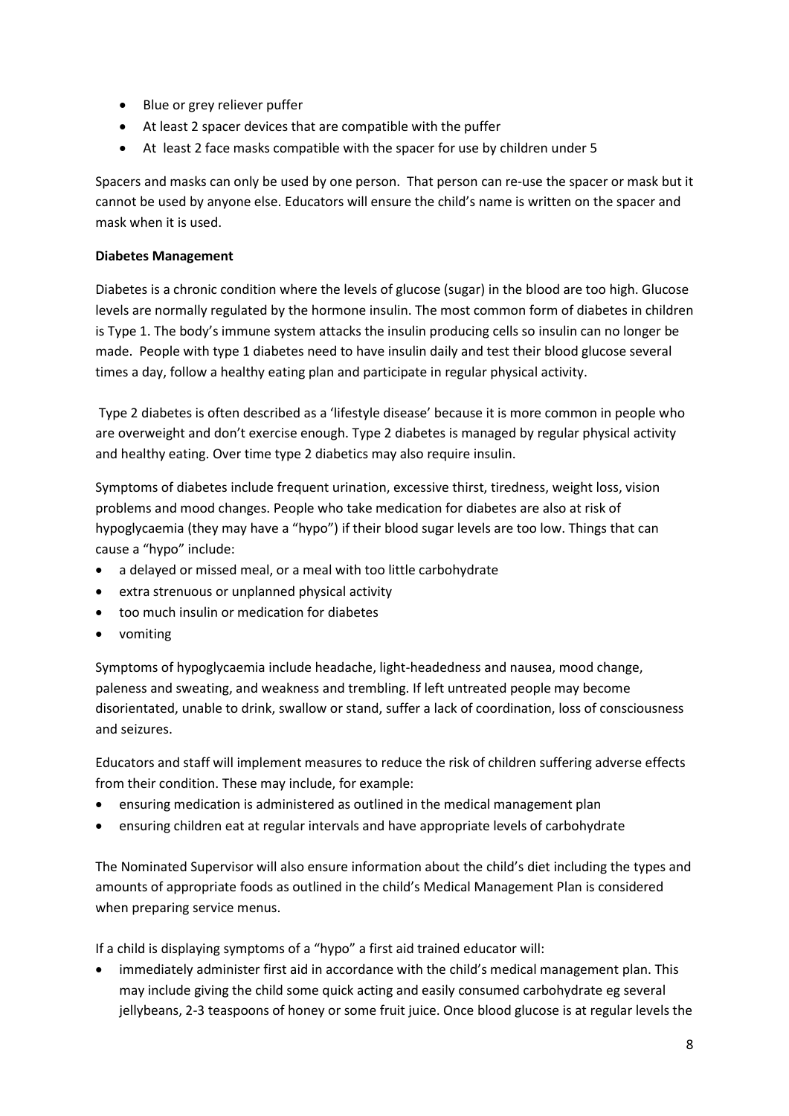- Blue or grey reliever puffer
- At least 2 spacer devices that are compatible with the puffer
- At least 2 face masks compatible with the spacer for use by children under 5

Spacers and masks can only be used by one person. That person can re-use the spacer or mask but it cannot be used by anyone else. Educators will ensure the child's name is written on the spacer and mask when it is used.

#### **Diabetes Management**

Diabetes is a chronic condition where the levels of glucose (sugar) in the blood are too high. Glucose levels are normally regulated by the hormone insulin. The most common form of diabetes in children is Type 1. The body's immune system attacks the insulin producing cells so insulin can no longer be made. People with type 1 diabetes need to have insulin daily and test their blood glucose several times a day, follow a healthy eating plan and participate in regular physical activity.

Type 2 diabetes is often described as a 'lifestyle disease' because it is more common in people who are overweight and don't exercise enough. Type 2 diabetes is managed by regular physical activity and healthy eating. Over time type 2 diabetics may also require insulin.

Symptoms of diabetes include frequent urination, excessive thirst, tiredness, weight loss, vision problems and mood changes. People who take medication for diabetes are also at risk of hypoglycaemia (they may have a "hypo") if their blood sugar levels are too low. Things that can cause a "hypo" include:

- a delayed or missed meal, or a meal with too little carbohydrate
- extra strenuous or unplanned physical activity
- too much insulin or medication for diabetes
- vomiting

Symptoms of hypoglycaemia include headache, light-headedness and nausea, mood change, paleness and sweating, and weakness and trembling. If left untreated people may become disorientated, unable to drink, swallow or stand, suffer a lack of coordination, loss of consciousness and seizures.

Educators and staff will implement measures to reduce the risk of children suffering adverse effects from their condition. These may include, for example:

- ensuring medication is administered as outlined in the medical management plan
- ensuring children eat at regular intervals and have appropriate levels of carbohydrate

The Nominated Supervisor will also ensure information about the child's diet including the types and amounts of appropriate foods as outlined in the child's Medical Management Plan is considered when preparing service menus.

If a child is displaying symptoms of a "hypo" a first aid trained educator will:

• immediately administer first aid in accordance with the child's medical management plan. This may include giving the child some quick acting and easily consumed carbohydrate eg several jellybeans, 2-3 teaspoons of honey or some fruit juice. Once blood glucose is at regular levels the